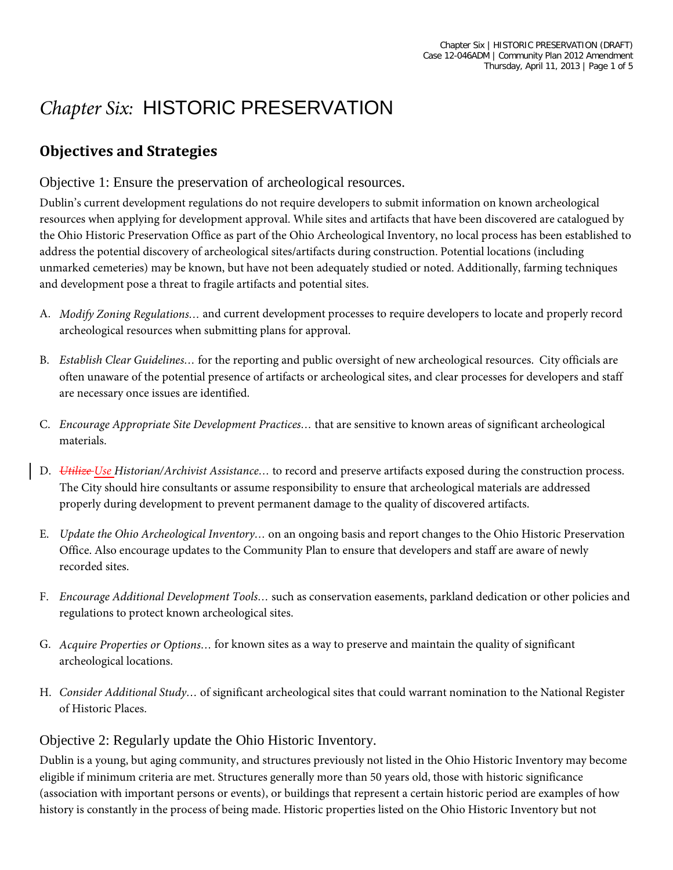## *Chapter Six:* HISTORIC PRESERVATION

## **Objectives and Strategies**

Objective 1: Ensure the preservation of archeological resources.

Dublin's current development regulations do not require developers to submit information on known archeological resources when applying for development approval. While sites and artifacts that have been discovered are catalogued by the Ohio Historic Preservation Office as part of the Ohio Archeological Inventory, no local process has been established to address the potential discovery of archeological sites/artifacts during construction. Potential locations (including unmarked cemeteries) may be known, but have not been adequately studied or noted. Additionally, farming techniques and development pose a threat to fragile artifacts and potential sites.

- A. *Modify Zoning Regulations…* and current development processes to require developers to locate and properly record archeological resources when submitting plans for approval.
- B. *Establish Clear Guidelines…* for the reporting and public oversight of new archeological resources. City officials are often unaware of the potential presence of artifacts or archeological sites, and clear processes for developers and staff are necessary once issues are identified.
- C. *Encourage Appropriate Site Development Practices…* that are sensitive to known areas of significant archeological materials.
- D. *Utilize Use Historian/Archivist Assistance…* to record and preserve artifacts exposed during the construction process. The City should hire consultants or assume responsibility to ensure that archeological materials are addressed properly during development to prevent permanent damage to the quality of discovered artifacts.
- E. *Update the Ohio Archeological Inventory…* on an ongoing basis and report changes to the Ohio Historic Preservation Office. Also encourage updates to the Community Plan to ensure that developers and staff are aware of newly recorded sites.
- F. *Encourage Additional Development Tools…* such as conservation easements, parkland dedication or other policies and regulations to protect known archeological sites.
- G. *Acquire Properties or Options…* for known sites as a way to preserve and maintain the quality of significant archeological locations.
- H. *Consider Additional Study…* of significant archeological sites that could warrant nomination to the National Register of Historic Places.

Objective 2: Regularly update the Ohio Historic Inventory.

Dublin is a young, but aging community, and structures previously not listed in the Ohio Historic Inventory may become eligible if minimum criteria are met. Structures generally more than 50 years old, those with historic significance (association with important persons or events), or buildings that represent a certain historic period are examples of how history is constantly in the process of being made. Historic properties listed on the Ohio Historic Inventory but not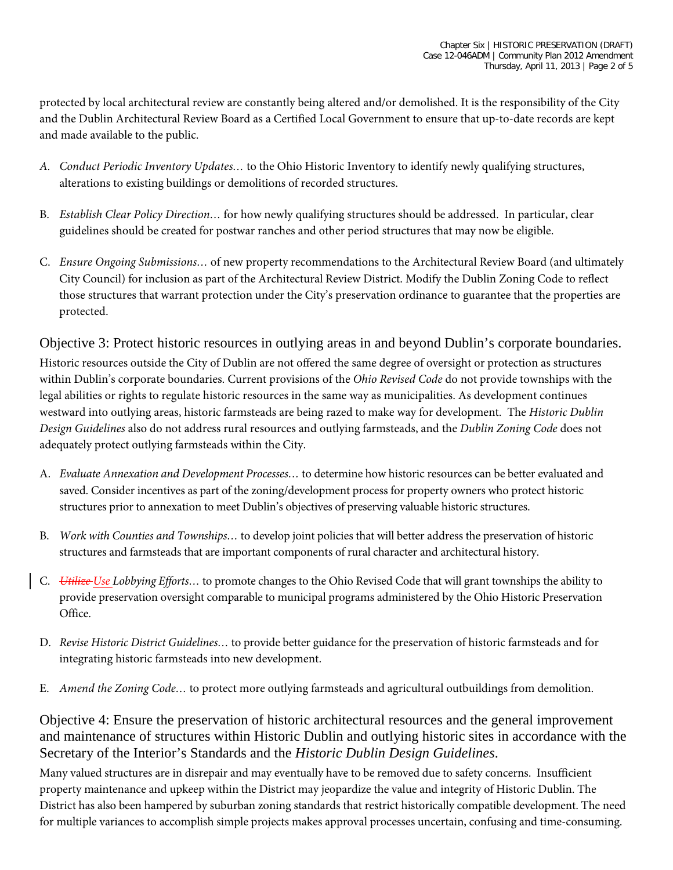protected by local architectural review are constantly being altered and/or demolished. It is the responsibility of the City and the Dublin Architectural Review Board as a Certified Local Government to ensure that up-to-date records are kept and made available to the public.

- *A. Conduct Periodic Inventory Updates…* to the Ohio Historic Inventory to identify newly qualifying structures, alterations to existing buildings or demolitions of recorded structures.
- B. *Establish Clear Policy Direction…* for how newly qualifying structures should be addressed. In particular, clear guidelines should be created for postwar ranches and other period structures that may now be eligible.
- C. *Ensure Ongoing Submissions…* of new property recommendations to the Architectural Review Board (and ultimately City Council) for inclusion as part of the Architectural Review District. Modify the Dublin Zoning Code to reflect those structures that warrant protection under the City's preservation ordinance to guarantee that the properties are protected.

Objective 3: Protect historic resources in outlying areas in and beyond Dublin's corporate boundaries. Historic resources outside the City of Dublin are not offered the same degree of oversight or protection as structures within Dublin's corporate boundaries. Current provisions of the *Ohio Revised Code* do not provide townships with the legal abilities or rights to regulate historic resources in the same way as municipalities. As development continues westward into outlying areas, historic farmsteads are being razed to make way for development. The *Historic Dublin Design Guidelines* also do not address rural resources and outlying farmsteads, and the *Dublin Zoning Code* does not adequately protect outlying farmsteads within the City.

- A. *Evaluate Annexation and Development Processes…* to determine how historic resources can be better evaluated and saved. Consider incentives as part of the zoning/development process for property owners who protect historic structures prior to annexation to meet Dublin's objectives of preserving valuable historic structures.
- B. *Work with Counties and Townships…* to develop joint policies that will better address the preservation of historic structures and farmsteads that are important components of rural character and architectural history.
- C. *Utilize Use Lobbying Efforts…* to promote changes to the Ohio Revised Code that will grant townships the ability to provide preservation oversight comparable to municipal programs administered by the Ohio Historic Preservation Office.
- D. *Revise Historic District Guidelines…* to provide better guidance for the preservation of historic farmsteads and for integrating historic farmsteads into new development.
- E. *Amend the Zoning Code…* to protect more outlying farmsteads and agricultural outbuildings from demolition.

Objective 4: Ensure the preservation of historic architectural resources and the general improvement and maintenance of structures within Historic Dublin and outlying historic sites in accordance with the Secretary of the Interior's Standards and the *Historic Dublin Design Guidelines*.

Many valued structures are in disrepair and may eventually have to be removed due to safety concerns. Insufficient property maintenance and upkeep within the District may jeopardize the value and integrity of Historic Dublin. The District has also been hampered by suburban zoning standards that restrict historically compatible development. The need for multiple variances to accomplish simple projects makes approval processes uncertain, confusing and time-consuming.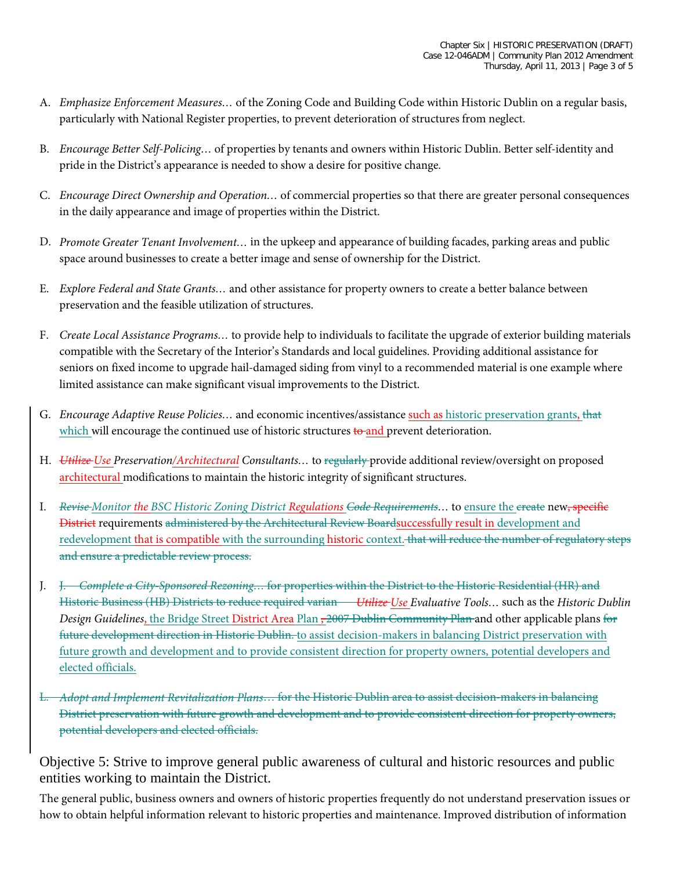- A. *Emphasize Enforcement Measures…* of the Zoning Code and Building Code within Historic Dublin on a regular basis, particularly with National Register properties, to prevent deterioration of structures from neglect.
- B. *Encourage Better Self-Policing…* of properties by tenants and owners within Historic Dublin. Better self-identity and pride in the District's appearance is needed to show a desire for positive change.
- C. *Encourage Direct Ownership and Operation…* of commercial properties so that there are greater personal consequences in the daily appearance and image of properties within the District.
- D. *Promote Greater Tenant Involvement…* in the upkeep and appearance of building facades, parking areas and public space around businesses to create a better image and sense of ownership for the District.
- E. *Explore Federal and State Grants…* and other assistance for property owners to create a better balance between preservation and the feasible utilization of structures.
- F. *Create Local Assistance Programs…* to provide help to individuals to facilitate the upgrade of exterior building materials compatible with the Secretary of the Interior's Standards and local guidelines. Providing additional assistance for seniors on fixed income to upgrade hail-damaged siding from vinyl to a recommended material is one example where limited assistance can make significant visual improvements to the District.
- G. *Encourage Adaptive Reuse Policies…* and economic incentives/assistance such as historic preservation grants, that which will encourage the continued use of historic structures to and prevent deterioration.
- H. *Utilize Use Preservation/Architectural Consultants…* to regularly provide additional review/oversight on proposed architectural modifications to maintain the historic integrity of significant structures.
- I. *Revise Monitor the BSC Historic Zoning District Regulations Code Requirements…* to ensure the create new, specific District requirements administered by the Architectural Review Boardsuccessfully result in development and redevelopment that is compatible with the surrounding historic context. that will reduce the number of regulatory steps and ensure a predictable review process.
- J. J. *Complete a City-Sponsored Rezoning…* for properties within the District to the Historic Residential (HR) and Historic Business (HB) Districts to reduce required varian *Utilize Use Evaluative Tools…* such as the *Historic Dublin Design Guidelines*, the Bridge Street District Area Plan <del>, 2007 Dublin Community Plan</del> and other applicable plans for future development direction in Historic Dublin. to assist decision-makers in balancing District preservation with future growth and development and to provide consistent direction for property owners, potential developers and elected officials.
- L. *Adopt and Implement Revitalization Plans*… for the Historic Dublin area to assist decision-makers in balancing District preservation with future growth and development and to provide consistent direction for property owners, potential developers and elected officials.

Objective 5: Strive to improve general public awareness of cultural and historic resources and public entities working to maintain the District.

The general public, business owners and owners of historic properties frequently do not understand preservation issues or how to obtain helpful information relevant to historic properties and maintenance. Improved distribution of information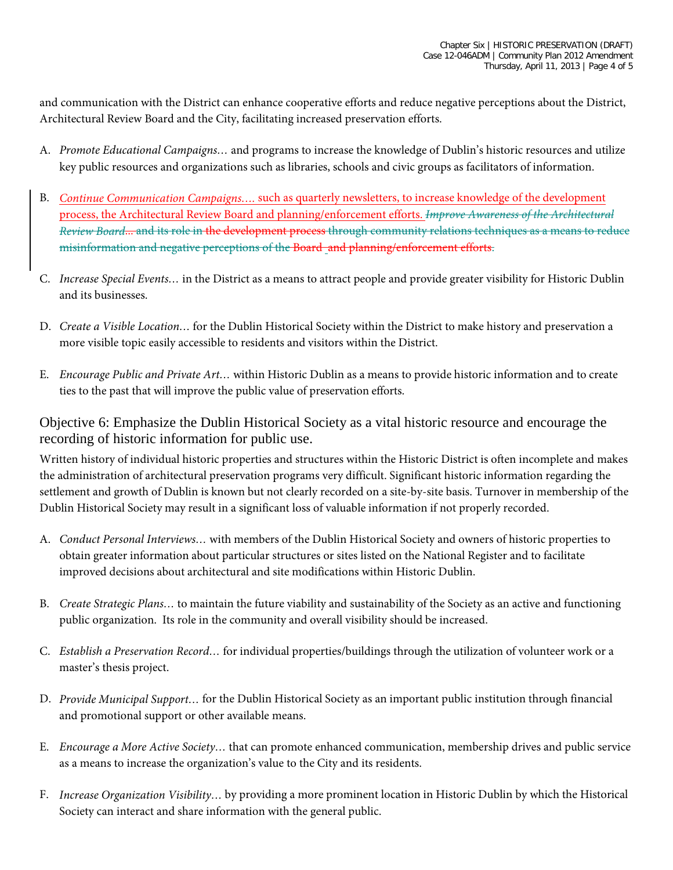and communication with the District can enhance cooperative efforts and reduce negative perceptions about the District, Architectural Review Board and the City, facilitating increased preservation efforts.

- A. *Promote Educational Campaigns…* and programs to increase the knowledge of Dublin's historic resources and utilize key public resources and organizations such as libraries, schools and civic groups as facilitators of information.
- B. *Continue Communication Campaigns….* such as quarterly newsletters, to increase knowledge of the development process, the Architectural Review Board and planning/enforcement efforts. *Improve Awareness of the Architectural Review Board*... and its role in the development process through community relations techniques as a means to reduce misinformation and negative perceptions of the Board and planning/enforcement efforts.
- C. *Increase Special Events…* in the District as a means to attract people and provide greater visibility for Historic Dublin and its businesses.
- D. *Create a Visible Location…* for the Dublin Historical Society within the District to make history and preservation a more visible topic easily accessible to residents and visitors within the District.
- E. *Encourage Public and Private Art…* within Historic Dublin as a means to provide historic information and to create ties to the past that will improve the public value of preservation efforts.

Objective 6: Emphasize the Dublin Historical Society as a vital historic resource and encourage the recording of historic information for public use.

Written history of individual historic properties and structures within the Historic District is often incomplete and makes the administration of architectural preservation programs very difficult. Significant historic information regarding the settlement and growth of Dublin is known but not clearly recorded on a site-by-site basis. Turnover in membership of the Dublin Historical Society may result in a significant loss of valuable information if not properly recorded.

- A. *Conduct Personal Interviews…* with members of the Dublin Historical Society and owners of historic properties to obtain greater information about particular structures or sites listed on the National Register and to facilitate improved decisions about architectural and site modifications within Historic Dublin.
- B. *Create Strategic Plans…* to maintain the future viability and sustainability of the Society as an active and functioning public organization. Its role in the community and overall visibility should be increased.
- C. *Establish a Preservation Record…* for individual properties/buildings through the utilization of volunteer work or a master's thesis project.
- D. *Provide Municipal Support…* for the Dublin Historical Society as an important public institution through financial and promotional support or other available means.
- E. *Encourage a More Active Society…* that can promote enhanced communication, membership drives and public service as a means to increase the organization's value to the City and its residents.
- F. *Increase Organization Visibility…* by providing a more prominent location in Historic Dublin by which the Historical Society can interact and share information with the general public.